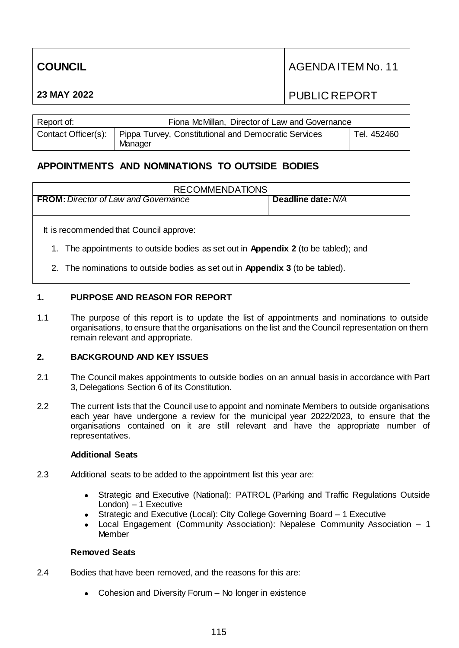| <b>COUNCIL</b> | I AGENDA ITEM No. 11 |
|----------------|----------------------|
| 23 MAY 2022    | <b>PUBLIC REPORT</b> |
|                |                      |

| Report of:          |                                                                 | Fiona McMillan, Director of Law and Governance |             |
|---------------------|-----------------------------------------------------------------|------------------------------------------------|-------------|
| Contact Officer(s): | Pippa Turvey, Constitutional and Democratic Services<br>Manager |                                                | Tel. 452460 |

# **APPOINTMENTS AND NOMINATIONS TO OUTSIDE BODIES**

| <b>RECOMMENDATIONS</b>                                                                                                                                                                                                |                    |  |
|-----------------------------------------------------------------------------------------------------------------------------------------------------------------------------------------------------------------------|--------------------|--|
| <b>FROM:</b> Director of Law and Governance                                                                                                                                                                           | Deadline date: N/A |  |
| It is recommended that Council approve:<br>1. The appointments to outside bodies as set out in <b>Appendix 2</b> (to be tabled); and<br>2. The nominations to outside bodies as set out in Appendix 3 (to be tabled). |                    |  |

# **1. PURPOSE AND REASON FOR REPORT**

1.1 The purpose of this report is to update the list of appointments and nominations to outside organisations, to ensure that the organisations on the list and the Council representation on them remain relevant and appropriate.

## **2. BACKGROUND AND KEY ISSUES**

- 2.1 The Council makes appointments to outside bodies on an annual basis in accordance with Part 3, Delegations Section 6 of its Constitution.
- 2.2 The current lists that the Council use to appoint and nominate Members to outside organisations each year have undergone a review for the municipal year 2022/2023, to ensure that the organisations contained on it are still relevant and have the appropriate number of representatives.

#### **Additional Seats**

- 2.3 Additional seats to be added to the appointment list this year are:
	- Strategic and Executive (National): PATROL (Parking and Traffic Regulations Outside London) – 1 Executive
	- Strategic and Executive (Local): City College Governing Board 1 Executive
	- Local Engagement (Community Association): Nepalese Community Association 1 Member

#### **Removed Seats**

- 2.4 Bodies that have been removed, and the reasons for this are:
	- Cohesion and Diversity Forum No longer in existence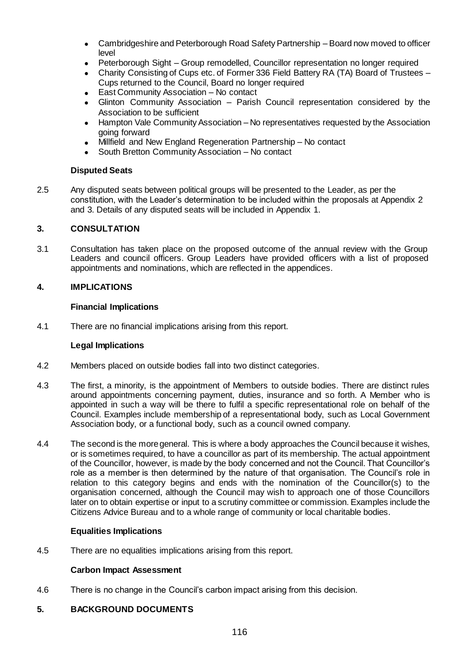- Cambridgeshire and Peterborough Road Safety Partnership Board now moved to officer level
- Peterborough Sight Group remodelled, Councillor representation no longer required
- Charity Consisting of Cups etc. of Former 336 Field Battery RA (TA) Board of Trustees Cups returned to the Council, Board no longer required
- East Community Association No contact
- Glinton Community Association Parish Council representation considered by the Association to be sufficient
- Hampton Vale Community Association No representatives requested by the Association going forward
- Millfield and New England Regeneration Partnership No contact
- South Bretton Community Association No contact

## **Disputed Seats**

2.5 Any disputed seats between political groups will be presented to the Leader, as per the constitution, with the Leader's determination to be included within the proposals at Appendix 2 and 3. Details of any disputed seats will be included in Appendix 1.

## **3. CONSULTATION**

3.1 Consultation has taken place on the proposed outcome of the annual review with the Group Leaders and council officers. Group Leaders have provided officers with a list of proposed appointments and nominations, which are reflected in the appendices.

## **4. IMPLICATIONS**

## **Financial Implications**

4.1 There are no financial implications arising from this report.

#### **Legal Implications**

- 4.2 Members placed on outside bodies fall into two distinct categories.
- 4.3 The first, a minority, is the appointment of Members to outside bodies. There are distinct rules around appointments concerning payment, duties, insurance and so forth. A Member who is appointed in such a way will be there to fulfil a specific representational role on behalf of the Council. Examples include membership of a representational body, such as Local Government Association body, or a functional body, such as a council owned company.
- 4.4 The second is the more general. This is where a body approaches the Council because it wishes, or is sometimes required, to have a councillor as part of its membership. The actual appointment of the Councillor, however, is made by the body concerned and not the Council. That Councillor's role as a member is then determined by the nature of that organisation. The Council's role in relation to this category begins and ends with the nomination of the Councillor(s) to the organisation concerned, although the Council may wish to approach one of those Councillors later on to obtain expertise or input to a scrutiny committee or commission. Examples include the Citizens Advice Bureau and to a whole range of community or local charitable bodies.

#### **Equalities Implications**

4.5 There are no equalities implications arising from this report.

#### **Carbon Impact Assessment**

4.6 There is no change in the Council's carbon impact arising from this decision.

## **5. BACKGROUND DOCUMENTS**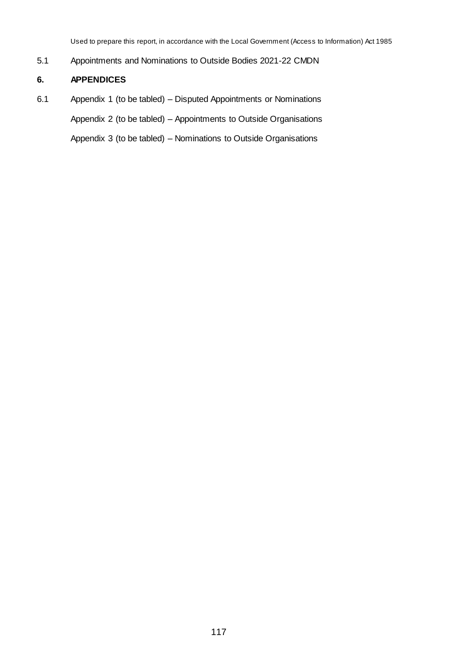Used to prepare this report, in accordance with the Local Government (Access to Information) Act 1985

5.1 Appointments and Nominations to Outside Bodies 2021-22 CMDN

# **6. APPENDICES**

6.1 Appendix 1 (to be tabled) – Disputed Appointments or Nominations Appendix 2 (to be tabled) – Appointments to Outside Organisations

Appendix 3 (to be tabled) – Nominations to Outside Organisations